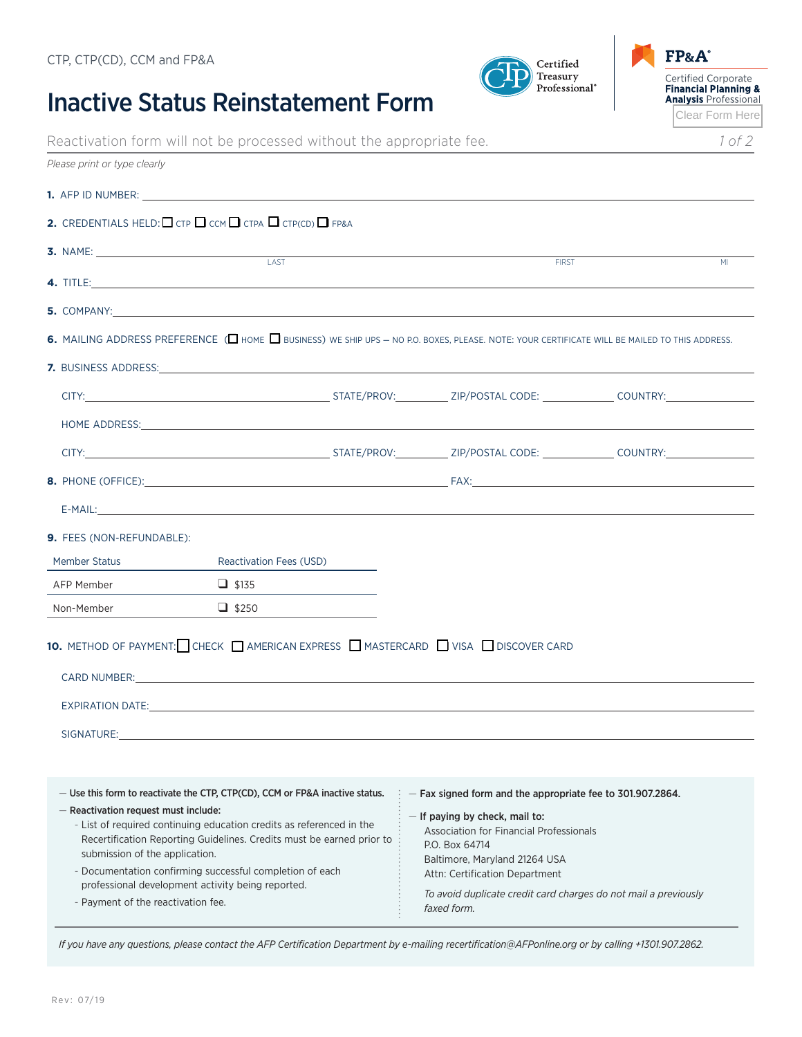## Inactive Status Reinstatement Form



| Reactivation form will not be processed without the appropriate fee. |  |
|----------------------------------------------------------------------|--|
|----------------------------------------------------------------------|--|

 $\mbox{Certified}$ 

Treasury Professional<sup>®</sup>

| Please print or type clearly                                                                                                                                                                                                                                   |                                                                                                                                                                                                                                                                                                               |  |                                                                                                                                                                     |                |
|----------------------------------------------------------------------------------------------------------------------------------------------------------------------------------------------------------------------------------------------------------------|---------------------------------------------------------------------------------------------------------------------------------------------------------------------------------------------------------------------------------------------------------------------------------------------------------------|--|---------------------------------------------------------------------------------------------------------------------------------------------------------------------|----------------|
|                                                                                                                                                                                                                                                                |                                                                                                                                                                                                                                                                                                               |  |                                                                                                                                                                     |                |
|                                                                                                                                                                                                                                                                | <b>2.</b> CREDENTIALS HELD: $\Box$ CTP $\Box$ CCM $\Box$ CTPA $\Box$ CTP(CD) $\Box$ FP&A                                                                                                                                                                                                                      |  |                                                                                                                                                                     |                |
|                                                                                                                                                                                                                                                                | <b>3.</b> NAME:                                                                                                                                                                                                                                                                                               |  | <b>FIRST</b>                                                                                                                                                        | M <sub>l</sub> |
|                                                                                                                                                                                                                                                                |                                                                                                                                                                                                                                                                                                               |  |                                                                                                                                                                     |                |
|                                                                                                                                                                                                                                                                |                                                                                                                                                                                                                                                                                                               |  |                                                                                                                                                                     |                |
|                                                                                                                                                                                                                                                                | 6. MAILING ADDRESS PREFERENCE ( I HOME $\Box$ BUSINESS) WE SHIP UPS - NO P.O. BOXES, PLEASE. NOTE: YOUR CERTIFICATE WILL BE MAILED TO THIS ADDRESS.                                                                                                                                                           |  |                                                                                                                                                                     |                |
|                                                                                                                                                                                                                                                                |                                                                                                                                                                                                                                                                                                               |  |                                                                                                                                                                     |                |
|                                                                                                                                                                                                                                                                |                                                                                                                                                                                                                                                                                                               |  |                                                                                                                                                                     |                |
|                                                                                                                                                                                                                                                                |                                                                                                                                                                                                                                                                                                               |  |                                                                                                                                                                     |                |
|                                                                                                                                                                                                                                                                |                                                                                                                                                                                                                                                                                                               |  |                                                                                                                                                                     |                |
|                                                                                                                                                                                                                                                                |                                                                                                                                                                                                                                                                                                               |  |                                                                                                                                                                     |                |
|                                                                                                                                                                                                                                                                |                                                                                                                                                                                                                                                                                                               |  |                                                                                                                                                                     |                |
|                                                                                                                                                                                                                                                                |                                                                                                                                                                                                                                                                                                               |  |                                                                                                                                                                     |                |
| <b>9. FEES (NON-REFUNDABLE):</b>                                                                                                                                                                                                                               |                                                                                                                                                                                                                                                                                                               |  |                                                                                                                                                                     |                |
| <b>Member Status</b>                                                                                                                                                                                                                                           | <b>Reactivation Fees (USD)</b>                                                                                                                                                                                                                                                                                |  |                                                                                                                                                                     |                |
| AFP Member                                                                                                                                                                                                                                                     | $\Box$ \$135<br><u> 1990 - Jan Barbara III, martxa</u>                                                                                                                                                                                                                                                        |  |                                                                                                                                                                     |                |
| Non-Member                                                                                                                                                                                                                                                     | $\Box$ \$250                                                                                                                                                                                                                                                                                                  |  |                                                                                                                                                                     |                |
|                                                                                                                                                                                                                                                                | 10. METHOD OF PAYMENT: CHECK AMERICAN EXPRESS MASTERCARD VISA DISCOVER CARD<br>CARD NUMBER: The contract of the contract of the contract of the contract of the contract of the contract of the contract of the contract of the contract of the contract of the contract of the contract of the contract of t |  |                                                                                                                                                                     |                |
|                                                                                                                                                                                                                                                                | EXPIRATION DATE: the contract of the contract of the contract of the contract of the contract of the contract of the contract of the contract of the contract of the contract of the contract of the contract of the contract                                                                                 |  |                                                                                                                                                                     |                |
| SIGNATURE:                                                                                                                                                                                                                                                     |                                                                                                                                                                                                                                                                                                               |  |                                                                                                                                                                     |                |
|                                                                                                                                                                                                                                                                |                                                                                                                                                                                                                                                                                                               |  |                                                                                                                                                                     |                |
| - Reactivation request must include:                                                                                                                                                                                                                           | - Use this form to reactivate the CTP, CTP(CD), CCM or FP&A inactive status.<br>- List of required continuing education credits as referenced in the                                                                                                                                                          |  | - Fax signed form and the appropriate fee to 301.907.2864.<br>If paying by check, mail to:<br>Association for Financial Professionals                               |                |
| Recertification Reporting Guidelines. Credits must be earned prior to<br>submission of the application.<br>- Documentation confirming successful completion of each<br>professional development activity being reported.<br>- Payment of the reactivation fee. |                                                                                                                                                                                                                                                                                                               |  | P.O. Box 64714<br>Baltimore, Maryland 21264 USA<br>Attn: Certification Department<br>To avoid duplicate credit card charges do not mail a previously<br>faxed form. |                |

*If you have any questions, please contact the AFP Certification Department by e-mailing recertification@AFPonline.org or by calling +1301.907.2862.*